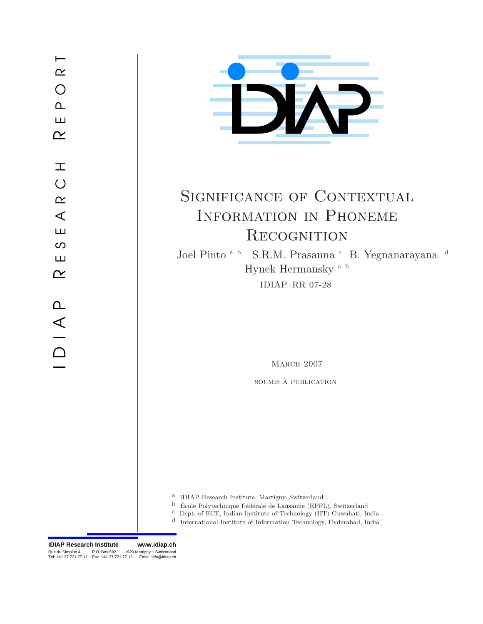E S E A R C H  $\alpha$ K E S E A R C H I K E P  $\sim$  O R T I D I A P



# SIGNIFICANCE OF CONTEXTUAL Information in Phoneme **RECOGNITION**

Joel Pinto $^{\mbox{\tiny \rm {a-b}}}$  S.R.M. Prasanna  $^{\mbox{\tiny \rm {c}}}$  B. Yegnanarayana $^{\mbox{\tiny \rm {d}}}$ Hynek Hermansky a b IDIAP–RR 07-28

MARCH 2007

soumis à **publication** 

- $^{\rm b}~$ École Polytechnique Fédérale de Lausanne (EPFL), Switzerland
- c Dept. of ECE, Indian Institute of Technology (IIT) Guwahati, India
- d International Institute of Information Technology, Hyderabad, India

Rue du Simplon 4 P.O. Box 592 1920 Martigny – Switzerland<br>Tel: +41 27 721 77 11 Fax: +41 27 721 77 12 Email: info@idiap.ch **IDIAP Research Institute www.idiap.ch**

a IDIAP Research Institute, Martigny, Switzerland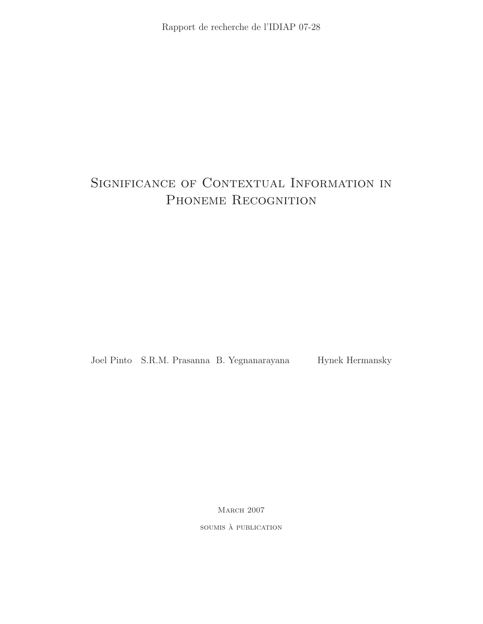## Significance of Contextual Information in PHONEME RECOGNITION

Joel Pinto S.R.M. Prasanna B. Yegnanarayana Hynek Hermansky

MARCH 2007

soumis à publication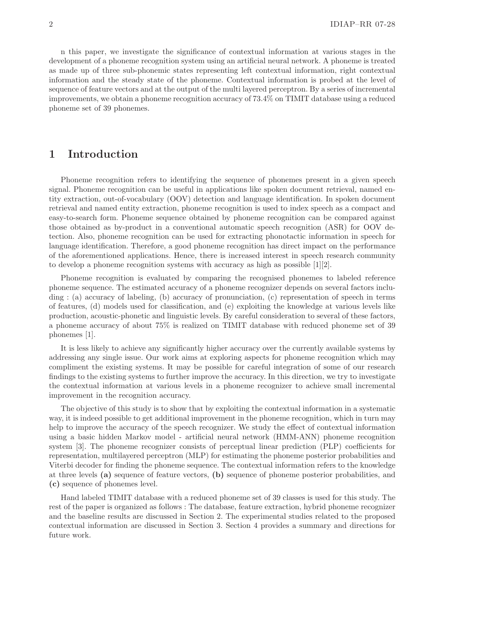n this paper, we investigate the significance of contextual information at various stages in the development of a phoneme recognition system using an artificial neural network. A phoneme is treated as made up of three sub-phonemic states representing left contextual information, right contextual information and the steady state of the phoneme. Contextual information is probed at the level of sequence of feature vectors and at the output of the multi layered perceptron. By a series of incremental improvements, we obtain a phoneme recognition accuracy of 73.4% on TIMIT database using a reduced phoneme set of 39 phonemes.

## 1 Introduction

Phoneme recognition refers to identifying the sequence of phonemes present in a given speech signal. Phoneme recognition can be useful in applications like spoken document retrieval, named entity extraction, out-of-vocabulary (OOV) detection and language identification. In spoken document retrieval and named entity extraction, phoneme recognition is used to index speech as a compact and easy-to-search form. Phoneme sequence obtained by phoneme recognition can be compared against those obtained as by-product in a conventional automatic speech recognition (ASR) for OOV detection. Also, phoneme recognition can be used for extracting phonotactic information in speech for language identification. Therefore, a good phoneme recognition has direct impact on the performance of the aforementioned applications. Hence, there is increased interest in speech research community to develop a phoneme recognition systems with accuracy as high as possible [1][2].

Phoneme recognition is evaluated by comparing the recognised phonemes to labeled reference phoneme sequence. The estimated accuracy of a phoneme recognizer depends on several factors including : (a) accuracy of labeling, (b) accuracy of pronunciation, (c) representation of speech in terms of features, (d) models used for classification, and (e) exploiting the knowledge at various levels like production, acoustic-phonetic and linguistic levels. By careful consideration to several of these factors, a phoneme accuracy of about 75% is realized on TIMIT database with reduced phoneme set of 39 phonemes [1].

It is less likely to achieve any significantly higher accuracy over the currently available systems by addressing any single issue. Our work aims at exploring aspects for phoneme recognition which may compliment the existing systems. It may be possible for careful integration of some of our research findings to the existing systems to further improve the accuracy. In this direction, we try to investigate the contextual information at various levels in a phoneme recognizer to achieve small incremental improvement in the recognition accuracy.

The objective of this study is to show that by exploiting the contextual information in a systematic way, it is indeed possible to get additional improvement in the phoneme recognition, which in turn may help to improve the accuracy of the speech recognizer. We study the effect of contextual information using a basic hidden Markov model - artificial neural network (HMM-ANN) phoneme recognition system [3]. The phoneme recognizer consists of perceptual linear prediction (PLP) coefficients for representation, multilayered perceptron (MLP) for estimating the phoneme posterior probabilities and Viterbi decoder for finding the phoneme sequence. The contextual information refers to the knowledge at three levels (a) sequence of feature vectors, (b) sequence of phoneme posterior probabilities, and (c) sequence of phonemes level.

Hand labeled TIMIT database with a reduced phoneme set of 39 classes is used for this study. The rest of the paper is organized as follows : The database, feature extraction, hybrid phoneme recognizer and the baseline results are discussed in Section 2. The experimental studies related to the proposed contextual information are discussed in Section 3. Section 4 provides a summary and directions for future work.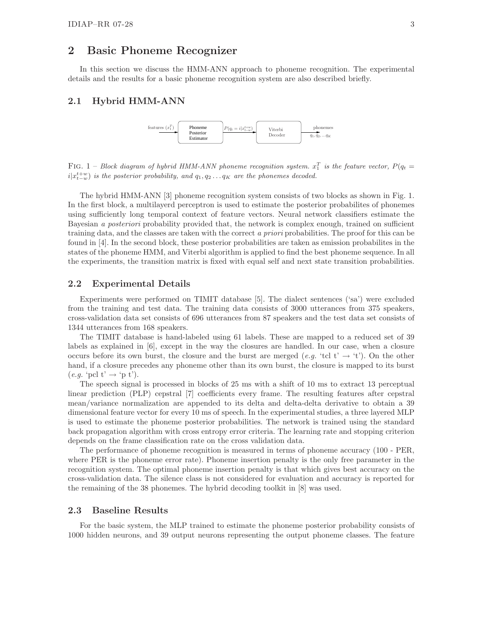### 2 Basic Phoneme Recognizer

In this section we discuss the HMM-ANN approach to phoneme recognition. The experimental details and the results for a basic phoneme recognition system are also described briefly.

#### 2.1 Hybrid HMM-ANN



FIG. 1 – Block diagram of hybrid HMM-ANN phoneme recognition system.  $x_1^T$  is the feature vector,  $P(q_t =$  $i|x_{t-w}^{t+w}|$  is the posterior probability, and  $q_1, q_2 \ldots q_K$  are the phonemes decoded.

The hybrid HMM-ANN [3] phoneme recognition system consists of two blocks as shown in Fig. 1. In the first block, a multilayerd perceptron is used to estimate the posterior probabilites of phonemes using sufficiently long temporal context of feature vectors. Neural network classifiers estimate the Bayesian a posteriori probability provided that, the network is complex enough, trained on sufficient training data, and the classes are taken with the correct a priori probabilities. The proof for this can be found in [4]. In the second block, these posterior probabilities are taken as emission probabilites in the states of the phoneme HMM, and Viterbi algorithm is applied to find the best phoneme sequence. In all the experiments, the transition matrix is fixed with equal self and next state transition probabilities.

#### 2.2 Experimental Details

Experiments were performed on TIMIT database [5]. The dialect sentences ('sa') were excluded from the training and test data. The training data consists of 3000 utterances from 375 speakers, cross-validation data set consists of 696 utterances from 87 speakers and the test data set consists of 1344 utterances from 168 speakers.

The TIMIT database is hand-labeled using 61 labels. These are mapped to a reduced set of 39 labels as explained in [6], except in the way the closures are handled. In our case, when a closure occurs before its own burst, the closure and the burst are merged (e.g. 'tcl t'  $\rightarrow$  't'). On the other hand, if a closure precedes any phoneme other than its own burst, the closure is mapped to its burst  $(e.g. \text{`pol } t' \rightarrow \text{`p } t'.).$ 

The speech signal is processed in blocks of 25 ms with a shift of 10 ms to extract 13 perceptual linear prediction (PLP) cepstral [7] coefficients every frame. The resulting features after cepstral mean/variance normalization are appended to its delta and delta-delta derivative to obtain a 39 dimensional feature vector for every 10 ms of speech. In the experimental studies, a three layered MLP is used to estimate the phoneme posterior probabilities. The network is trained using the standard back propagation algorithm with cross entropy error criteria. The learning rate and stopping criterion depends on the frame classification rate on the cross validation data.

The performance of phoneme recognition is measured in terms of phoneme accuracy (100 - PER, where PER is the phoneme error rate). Phoneme insertion penalty is the only free parameter in the recognition system. The optimal phoneme insertion penalty is that which gives best accuracy on the cross-validation data. The silence class is not considered for evaluation and accuracy is reported for the remaining of the 38 phonemes. The hybrid decoding toolkit in [8] was used.

#### 2.3 Baseline Results

For the basic system, the MLP trained to estimate the phoneme posterior probability consists of 1000 hidden neurons, and 39 output neurons representing the output phoneme classes. The feature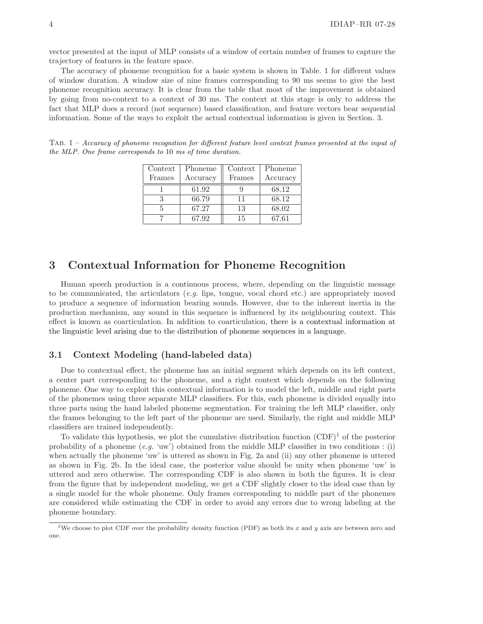vector presented at the input of MLP consists of a window of certain number of frames to capture the trajectory of features in the feature space.

The accuracy of phoneme recognition for a basic system is shown in Table. 1 for different values of window duration. A window size of nine frames corresponding to 90 ms seems to give the best phoneme recognition accuracy. It is clear from the table that most of the improvement is obtained by going from no-context to a context of 30 ms. The context at this stage is only to address the fact that MLP does a record (not sequence) based classification, and feature vectors bear sequential information. Some of the ways to exploit the actual contextual information is given in Section. 3.

| Context | Phoneme  | Context | Phoneme  |
|---------|----------|---------|----------|
| Frames  | Accuracy | Frames  | Accuracy |
|         | 61.92    |         | 68.12    |
|         | 66.79    | 11      | 68.12    |
|         | 67.27    | 13      | 68.02    |
|         | 67.92    | 15      | 67.61    |

TAB.  $1 - Accuracy$  of phoneme recognition for different feature level context frames presented at the input of the MLP. One frame corresponds to 10 ms of time duration.

## 3 Contextual Information for Phoneme Recognition

Human speech production is a continuous process, where, depending on the linguistic message to be communicated, the articulators  $(e.g.$  lips, tongue, vocal chord etc.) are appropriately moved to produce a sequence of information bearing sounds. However, due to the inherent inertia in the production mechanism, any sound in this sequence is influenced by its neighbouring context. This effect is known as coarticulation. In addition to coarticulation, there is a contextual information at the linguistic level arising due to the distribution of phoneme sequences in a language.

#### 3.1 Context Modeling (hand-labeled data)

Due to contextual effect, the phoneme has an initial segment which depends on its left context, a center part corresponding to the phoneme, and a right context which depends on the following phoneme. One way to exploit this contextual information is to model the left, middle and right parts of the phonemes using three separate MLP classifiers. For this, each phoneme is divided equally into three parts using the hand labeled phoneme segmentation. For training the left MLP classifier, only the frames belonging to the left part of the phoneme are used. Similarly, the right and middle MLP classifiers are trained independently.

To validate this hypothesis, we plot the cumulative distribution function  $(CDF)^1$  of the posterior probability of a phoneme  $(e.g. 'uw')$  obtained from the middle MLP classifier in two conditions : (i) when actually the phoneme 'uw' is uttered as shown in Fig. 2a and (ii) any other phoneme is uttered as shown in Fig. 2b. In the ideal case, the posterior value should be unity when phoneme 'uw' is uttered and zero otherwise. The corresponding CDF is also shown in both the figures. It is clear from the figure that by independent modeling, we get a CDF slightly closer to the ideal case than by a single model for the whole phoneme. Only frames corresponding to middle part of the phonemes are considered while estimating the CDF in order to avoid any errors due to wrong labeling at the phoneme boundary.

<sup>&</sup>lt;sup>1</sup>We choose to plot CDF over the probability density function (PDF) as both its x and y axis are between zero and one.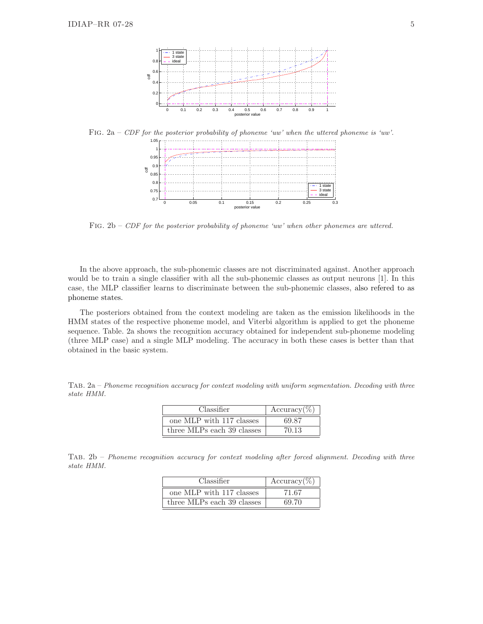

FIG.  $2a$  – CDF for the posterior probability of phoneme 'uw' when the uttered phoneme is 'uw'.



FIG.  $2b$  – CDF for the posterior probability of phoneme 'uw' when other phonemes are uttered.

In the above approach, the sub-phonemic classes are not discriminated against. Another approach would be to train a single classifier with all the sub-phonemic classes as output neurons [1]. In this case, the MLP classifier learns to discriminate between the sub-phonemic classes, also refered to as phoneme states.

The posteriors obtained from the context modeling are taken as the emission likelihoods in the HMM states of the respective phoneme model, and Viterbi algorithm is applied to get the phoneme sequence. Table. 2a shows the recognition accuracy obtained for independent sub-phoneme modeling (three MLP case) and a single MLP modeling. The accuracy in both these cases is better than that obtained in the basic system.

Tab. 2a – Phoneme recognition accuracy for context modeling with uniform segmentation. Decoding with three state HMM.

| Classifier                 | $Accuracy(\%)$ |  |
|----------------------------|----------------|--|
| one MLP with 117 classes   | 69.87          |  |
| three MLPs each 39 classes | 70.13          |  |

Tab. 2b – Phoneme recognition accuracy for context modeling after forced alignment. Decoding with three state HMM.

| Classifier                 | $Accuracy(\%)$ |  |
|----------------------------|----------------|--|
| one MLP with 117 classes   | 71.67          |  |
| three MLPs each 39 classes | 69.70          |  |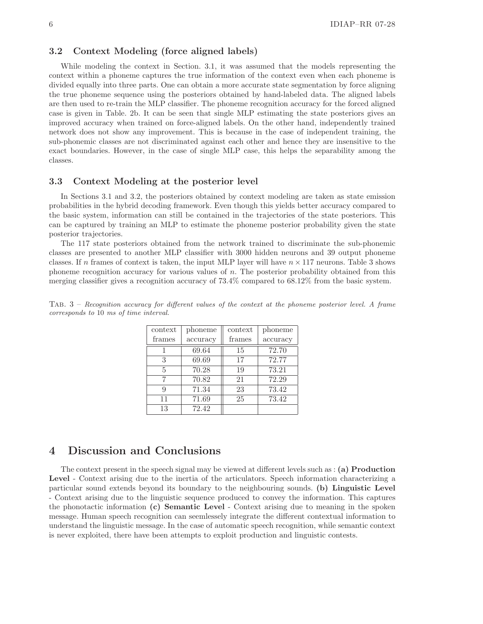#### 3.2 Context Modeling (force aligned labels)

While modeling the context in Section. 3.1, it was assumed that the models representing the context within a phoneme captures the true information of the context even when each phoneme is divided equally into three parts. One can obtain a more accurate state segmentation by force aligning the true phoneme sequence using the posteriors obtained by hand-labeled data. The aligned labels are then used to re-train the MLP classifier. The phoneme recognition accuracy for the forced aligned case is given in Table. 2b. It can be seen that single MLP estimating the state posteriors gives an improved accuracy when trained on force-aligned labels. On the other hand, independently trained network does not show any improvement. This is because in the case of independent training, the sub-phonemic classes are not discriminated against each other and hence they are insensitive to the exact boundaries. However, in the case of single MLP case, this helps the separability among the classes.

#### 3.3 Context Modeling at the posterior level

In Sections 3.1 and 3.2, the posteriors obtained by context modeling are taken as state emission probabilities in the hybrid decoding framework. Even though this yields better accuracy compared to the basic system, information can still be contained in the trajectories of the state posteriors. This can be captured by training an MLP to estimate the phoneme posterior probability given the state posterior trajectories.

The 117 state posteriors obtained from the network trained to discriminate the sub-phonemic classes are presented to another MLP classifier with 3000 hidden neurons and 39 output phoneme classes. If n frames of context is taken, the input MLP layer will have  $n \times 117$  neurons. Table 3 shows phoneme recognition accuracy for various values of n. The posterior probability obtained from this merging classifier gives a recognition accuracy of 73.4% compared to 68.12% from the basic system.

| context | phoneme  | context | phoneme  |
|---------|----------|---------|----------|
| frames  | accuracy | frames  | accuracy |
|         | 69.64    | 15      | 72.70    |
| 3       | 69.69    | 17      | 72.77    |
| 5       | 70.28    | 19      | 73.21    |
| 7       | 70.82    | 21      | 72.29    |
| 9       | 71.34    | 23      | 73.42    |
| 11      | 71.69    | 25      | 73.42    |
| 13      | 72.42    |         |          |

Tab. 3 – Recognition accuracy for different values of the context at the phoneme posterior level. A frame corresponds to 10 ms of time interval.

## 4 Discussion and Conclusions

The context present in the speech signal may be viewed at different levels such as : (a) Production Level - Context arising due to the inertia of the articulators. Speech information characterizing a particular sound extends beyond its boundary to the neighbouring sounds. (b) Linguistic Level - Context arising due to the linguistic sequence produced to convey the information. This captures the phonotactic information (c) Semantic Level - Context arising due to meaning in the spoken message. Human speech recognition can seemlessely integrate the different contextual information to understand the linguistic message. In the case of automatic speech recognition, while semantic context is never exploited, there have been attempts to exploit production and linguistic contests.